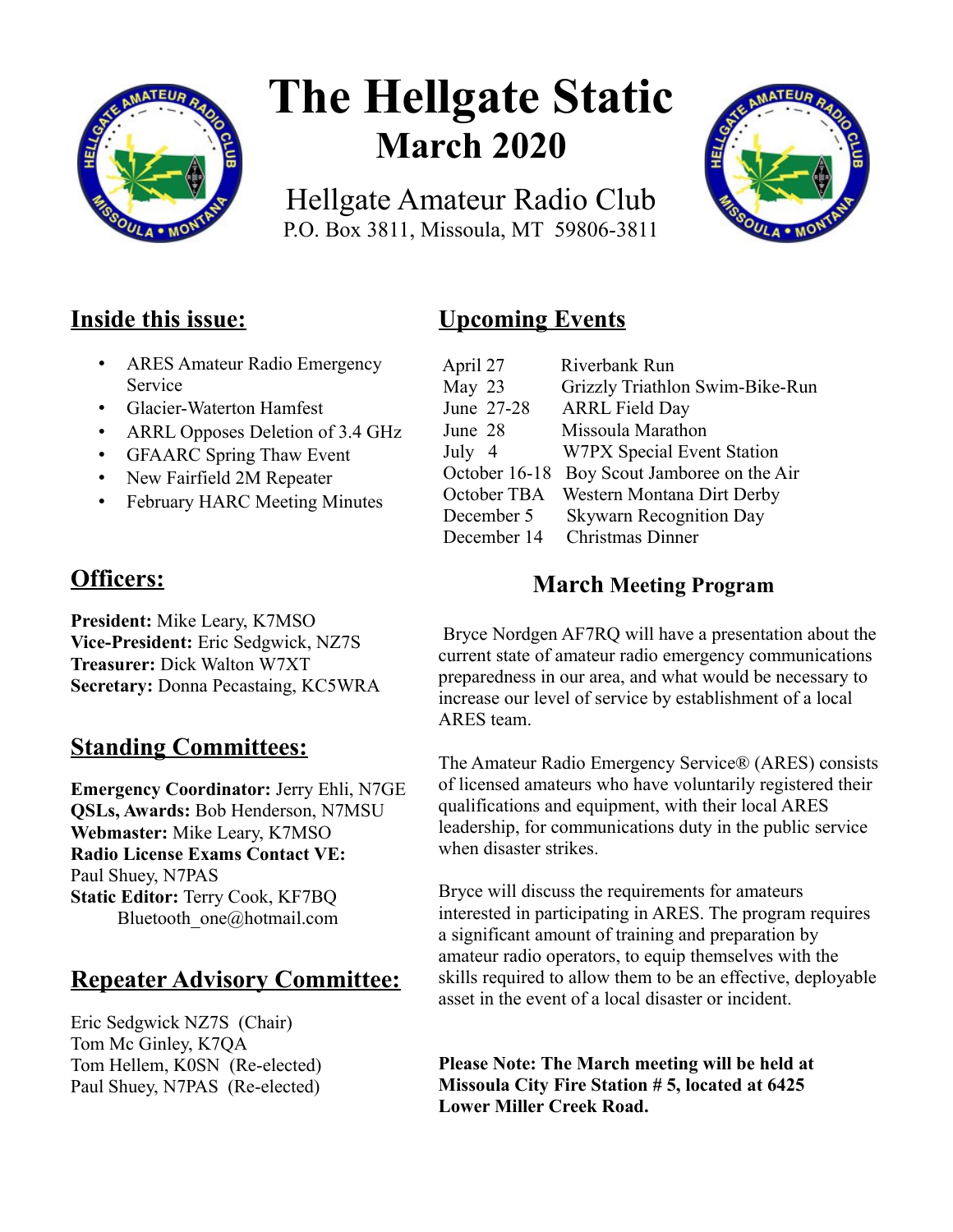

# **The Hellgate Static March 2020**

Hellgate Amateur Radio Club P.O. Box 3811, Missoula, MT 59806-3811



## **Inside this issue:**

- ARES Amateur Radio Emergency Service
- Glacier-Waterton Hamfest
- ARRL Opposes Deletion of 3.4 GHz
- GFAARC Spring Thaw Event
- New Fairfield 2M Repeater
- February HARC Meeting Minutes

## **Officers:**

**President:** Mike Leary, K7MSO **Vice-President:** Eric Sedgwick, NZ7S **Treasurer:** Dick Walton W7XT **Secretary:** Donna Pecastaing, KC5WRA

## **Standing Committees:**

**Emergency Coordinator:** Jerry Ehli, N7GE **QSLs, Awards:** Bob Henderson, N7MSU **Webmaster:** Mike Leary, K7MSO **Radio License Exams Contact VE:** Paul Shuey, N7PAS **Static Editor:** Terry Cook, KF7BQ Bluetooth\_one@hotmail.com

## **Repeater Advisory Committee:**

Eric Sedgwick NZ7S (Chair) Tom Mc Ginley, K7QA Tom Hellem, K0SN (Re-elected) Paul Shuey, N7PAS (Re-elected)

## **Upcoming Events**

| April 27      | Riverbank Run                   |
|---------------|---------------------------------|
| May 23        | Grizzly Triathlon Swim-Bike-Run |
| June 27-28    | <b>ARRL Field Day</b>           |
| June 28       | Missoula Marathon               |
| July 4        | W7PX Special Event Station      |
| October 16-18 | Boy Scout Jamboree on the Air   |
| October TBA   | Western Montana Dirt Derby      |
| December 5    | <b>Skywarn Recognition Day</b>  |
| December 14   | <b>Christmas Dinner</b>         |

### **March Meeting Program**

 Bryce Nordgen AF7RQ will have a presentation about the current state of amateur radio emergency communications preparedness in our area, and what would be necessary to increase our level of service by establishment of a local ARES team.

The Amateur Radio Emergency Service® (ARES) consists of licensed amateurs who have voluntarily registered their qualifications and equipment, with their local ARES leadership, for communications duty in the public service when disaster strikes.

Bryce will discuss the requirements for amateurs interested in participating in ARES. The program requires a significant amount of training and preparation by amateur radio operators, to equip themselves with the skills required to allow them to be an effective, deployable asset in the event of a local disaster or incident.

**Please Note: The March meeting will be held at Missoula City Fire Station # 5, located at 6425 Lower Miller Creek Road.**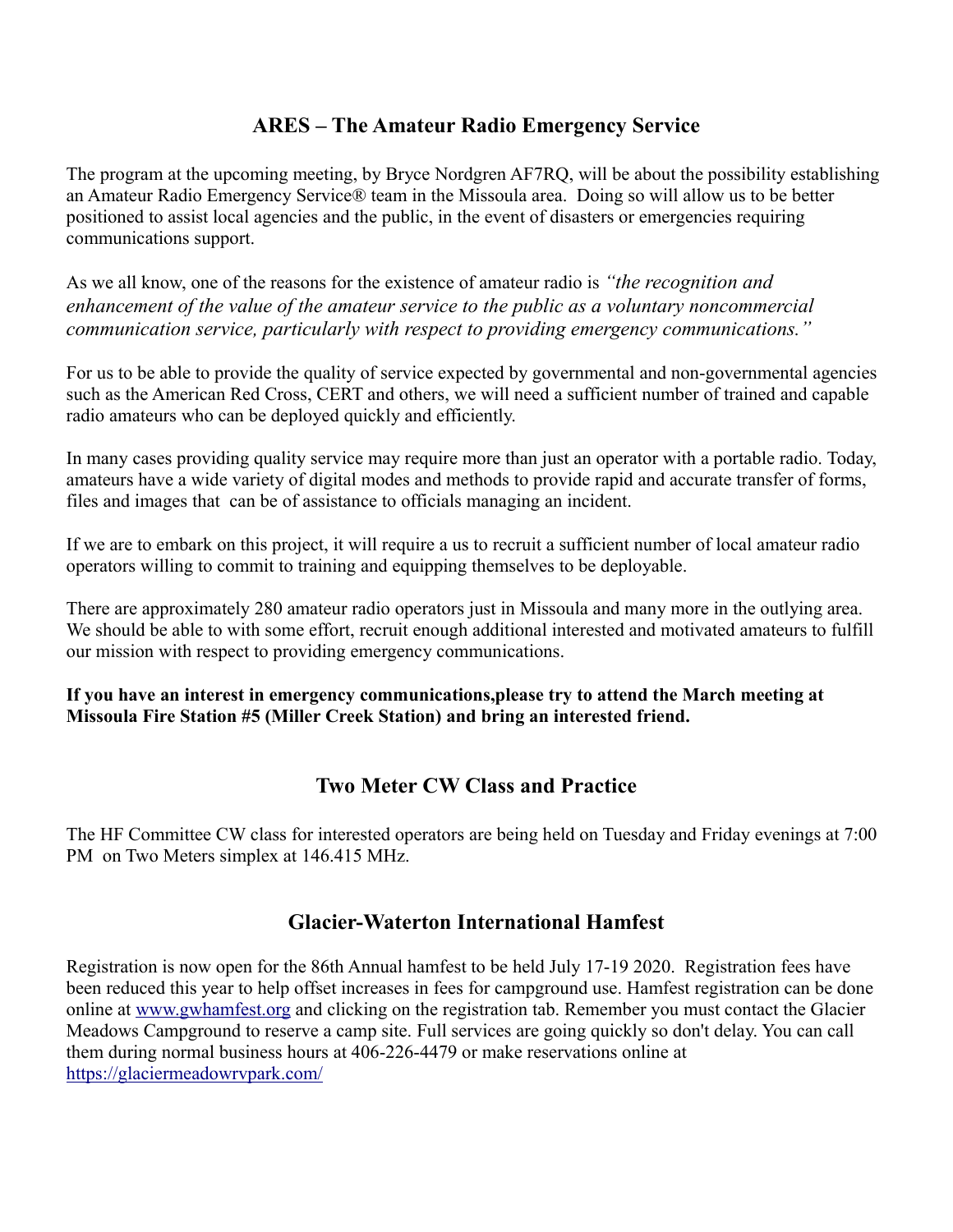#### **ARES – The Amateur Radio Emergency Service**

The program at the upcoming meeting, by Bryce Nordgren AF7RQ, will be about the possibility establishing an Amateur Radio Emergency Service® team in the Missoula area. Doing so will allow us to be better positioned to assist local agencies and the public, in the event of disasters or emergencies requiring communications support.

As we all know, one of the reasons for the existence of amateur radio is *"the recognition and enhancement of the value of the amateur service to the public as a voluntary noncommercial communication service, particularly with respect to providing emergency communications."*

For us to be able to provide the quality of service expected by governmental and non-governmental agencies such as the American Red Cross, CERT and others, we will need a sufficient number of trained and capable radio amateurs who can be deployed quickly and efficiently.

In many cases providing quality service may require more than just an operator with a portable radio. Today, amateurs have a wide variety of digital modes and methods to provide rapid and accurate transfer of forms, files and images that can be of assistance to officials managing an incident.

If we are to embark on this project, it will require a us to recruit a sufficient number of local amateur radio operators willing to commit to training and equipping themselves to be deployable.

There are approximately 280 amateur radio operators just in Missoula and many more in the outlying area. We should be able to with some effort, recruit enough additional interested and motivated amateurs to fulfill our mission with respect to providing emergency communications.

**If you have an interest in emergency communications,please try to attend the March meeting at Missoula Fire Station #5 (Miller Creek Station) and bring an interested friend.**

#### **Two Meter CW Class and Practice**

The HF Committee CW class for interested operators are being held on Tuesday and Friday evenings at 7:00 PM on Two Meters simplex at 146.415 MHz.

#### **Glacier-Waterton International Hamfest**

Registration is now open for the 86th Annual hamfest to be held July 17-19 2020. Registration fees have been reduced this year to help offset increases in fees for campground use. Hamfest registration can be done online at [www.gwhamfest.org](http://www.gwhamfest.org/) and clicking on the registration tab. Remember you must contact the Glacier Meadows Campground to reserve a camp site. Full services are going quickly so don't delay. You can call them during normal business hours at 406-226-4479 or make reservations online at <https://glaciermeadowrvpark.com/>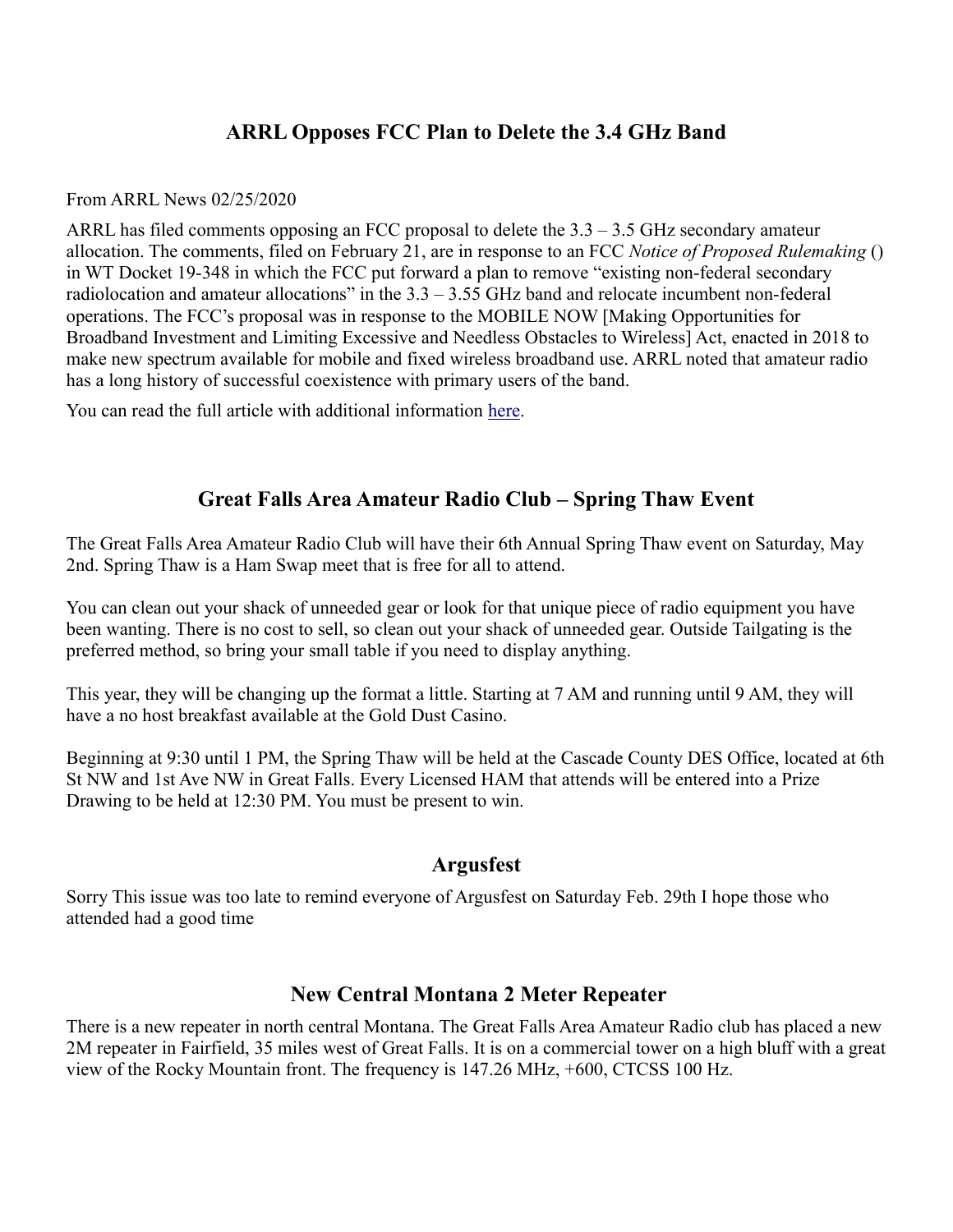#### **ARRL Opposes FCC Plan to Delete the 3.4 GHz Band**

From ARRL News 02/25/2020

ARRL has filed comments opposing an FCC proposal to delete the  $3.3 - 3.5$  GHz secondary amateur allocation. The comments, filed on February 21, are in response to an FCC *Notice of Proposed Rulemaking* () in WT Docket 19-348 in which the FCC put forward a plan to remove "existing non-federal secondary radiolocation and amateur allocations" in the  $3.3 - 3.55$  GHz band and relocate incumbent non-federal operations. The FCC's proposal was in response to the MOBILE NOW [Making Opportunities for Broadband Investment and Limiting Excessive and Needless Obstacles to Wireless] Act, enacted in 2018 to make new spectrum available for mobile and fixed wireless broadband use. ARRL noted that amateur radio has a long history of successful coexistence with primary users of the band.

You can read the full article with additional information [here.](http://www.arrl.org/news/arrl-opposes-fcc-plan-to-delete-the-3-4-ghz-band?fbclid=IwAR0Oc_vnlDheX1oM-Ah2pSqkeBHEdlsLcBCdGzosMidbwys-evRt8Zj4uqk)

#### **Great Falls Area Amateur Radio Club – Spring Thaw Event**

The Great Falls Area Amateur Radio Club will have their 6th Annual Spring Thaw event on Saturday, May 2nd. Spring Thaw is a Ham Swap meet that is free for all to attend.

You can clean out your shack of unneeded gear or look for that unique piece of radio equipment you have been wanting. There is no cost to sell, so clean out your shack of unneeded gear. Outside Tailgating is the preferred method, so bring your small table if you need to display anything.

This year, they will be changing up the format a little. Starting at 7 AM and running until 9 AM, they will have a no host breakfast available at the Gold Dust Casino.

Beginning at 9:30 until 1 PM, the Spring Thaw will be held at the Cascade County DES Office, located at 6th St NW and 1st Ave NW in Great Falls. Every Licensed HAM that attends will be entered into a Prize Drawing to be held at 12:30 PM. You must be present to win.

#### **Argusfest**

Sorry This issue was too late to remind everyone of Argusfest on Saturday Feb. 29th I hope those who attended had a good time

#### **New Central Montana 2 Meter Repeater**

There is a new repeater in north central Montana. The Great Falls Area Amateur Radio club has placed a new 2M repeater in Fairfield, 35 miles west of Great Falls. It is on a commercial tower on a high bluff with a great view of the Rocky Mountain front. The frequency is 147.26 MHz, +600, CTCSS 100 Hz.